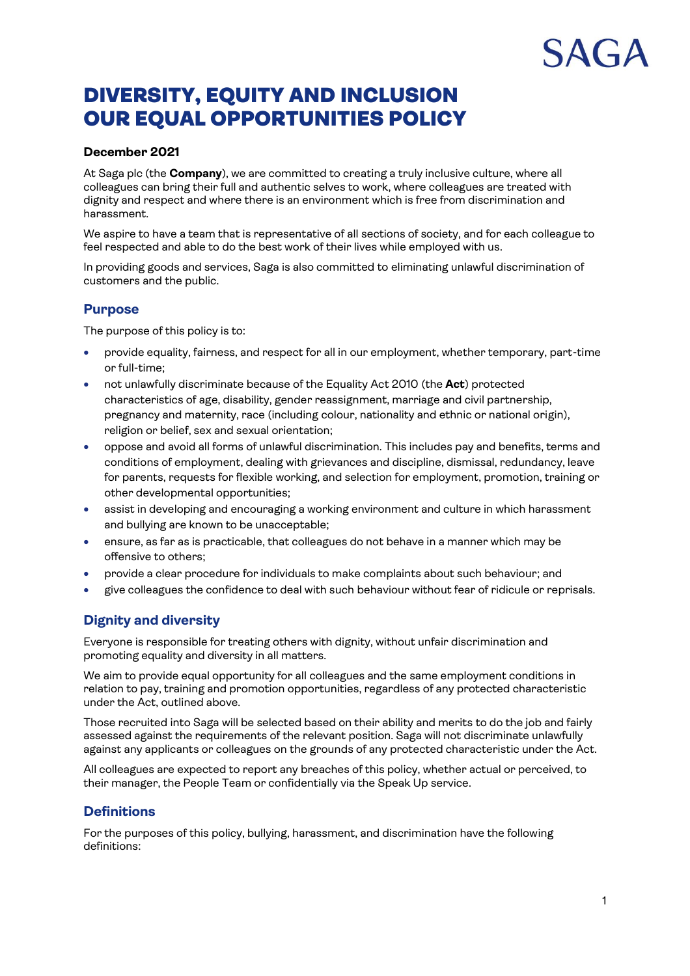# DIVERSITY, EQUITY AND INCLUSION OUR EQUAL OPPORTUNITIES POLICY

# **December 2021**

At Saga plc (the **Company**), we are committed to creating a truly inclusive culture, where all colleagues can bring their full and authentic selves to work, where colleagues are treated with dignity and respect and where there is an environment which is free from discrimination and harassment.

We aspire to have a team that is representative of all sections of society, and for each colleague to feel respected and able to do the best work of their lives while employed with us.

In providing goods and services, Saga is also committed to eliminating unlawful discrimination of customers and the public.

# **Purpose**

The purpose of this policy is to:

- provide equality, fairness, and respect for all in our employment, whether temporary, part-time or full-time;
- not unlawfully discriminate because of the Equality Act 2010 (the **Act**) protected characteristics of age, disability, gender reassignment, marriage and civil partnership, pregnancy and maternity, race (including colour, nationality and ethnic or national origin), religion or belief, sex and sexual orientation;
- oppose and avoid all forms of unlawful discrimination. This includes pay and benefits, terms and conditions of employment, dealing with grievances and discipline, dismissal, redundancy, leave for parents, requests for flexible working, and selection for employment, promotion, training or other developmental opportunities;
- assist in developing and encouraging a working environment and culture in which harassment and bullying are known to be unacceptable;
- ensure, as far as is practicable, that colleagues do not behave in a manner which may be offensive to others;
- provide a clear procedure for individuals to make complaints about such behaviour; and
- give colleagues the confidence to deal with such behaviour without fear of ridicule or reprisals.

# **Dignity and diversity**

Everyone is responsible for treating others with dignity, without unfair discrimination and promoting equality and diversity in all matters.

We aim to provide equal opportunity for all colleagues and the same employment conditions in relation to pay, training and promotion opportunities, regardless of any protected characteristic under the Act, outlined above.

Those recruited into Saga will be selected based on their ability and merits to do the job and fairly assessed against the requirements of the relevant position. Saga will not discriminate unlawfully against any applicants or colleagues on the grounds of any protected characteristic under the Act.

All colleagues are expected to report any breaches of this policy, whether actual or perceived, to their manager, the People Team or confidentially via the Speak Up service.

# **Definitions**

For the purposes of this policy, bullying, harassment, and discrimination have the following definitions: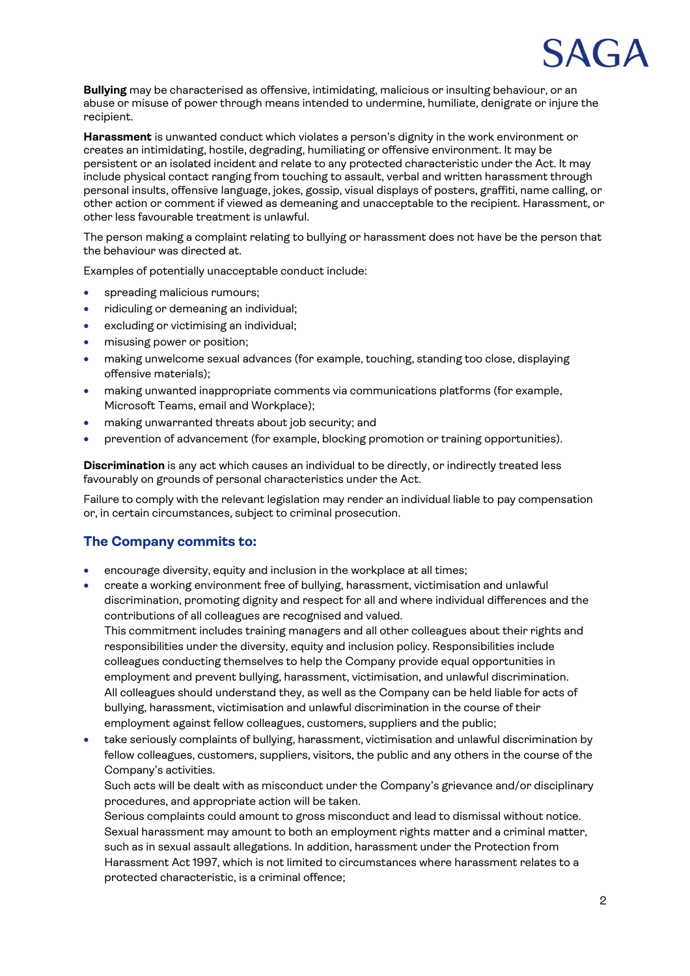

**Bullying** may be characterised as offensive, intimidating, malicious or insulting behaviour, or an abuse or misuse of power through means intended to undermine, humiliate, denigrate or injure the recipient.

**Harassment** is unwanted conduct which violates a person's dignity in the work environment or creates an intimidating, hostile, degrading, humiliating or offensive environment. It may be persistent or an isolated incident and relate to any protected characteristic under the Act. It may include physical contact ranging from touching to assault, verbal and written harassment through personal insults, offensive language, jokes, gossip, visual displays of posters, graffiti, name calling, or other action or comment if viewed as demeaning and unacceptable to the recipient. Harassment, or other less favourable treatment is unlawful.

The person making a complaint relating to bullying or harassment does not have be the person that the behaviour was directed at.

Examples of potentially unacceptable conduct include:

- spreading malicious rumours;
- ridiculing or demeaning an individual;
- excluding or victimising an individual;
- misusing power or position;
- making unwelcome sexual advances (for example, touching, standing too close, displaying offensive materials);
- making unwanted inappropriate comments via communications platforms (for example, Microsoft Teams, email and Workplace);
- making unwarranted threats about job security; and
- prevention of advancement (for example, blocking promotion or training opportunities).

**Discrimination** is any act which causes an individual to be directly, or indirectly treated less favourably on grounds of personal characteristics under the Act.

Failure to comply with the relevant legislation may render an individual liable to pay compensation or, in certain circumstances, subject to criminal prosecution.

## **The Company commits to:**

- encourage diversity, equity and inclusion in the workplace at all times;
- create a working environment free of bullying, harassment, victimisation and unlawful discrimination, promoting dignity and respect for all and where individual differences and the contributions of all colleagues are recognised and valued.

This commitment includes training managers and all other colleagues about their rights and responsibilities under the diversity, equity and inclusion policy. Responsibilities include colleagues conducting themselves to help the Company provide equal opportunities in employment and prevent bullying, harassment, victimisation, and unlawful discrimination. All colleagues should understand they, as well as the Company can be held liable for acts of bullying, harassment, victimisation and unlawful discrimination in the course of their employment against fellow colleagues, customers, suppliers and the public;

• take seriously complaints of bullying, harassment, victimisation and unlawful discrimination by fellow colleagues, customers, suppliers, visitors, the public and any others in the course of the Company's activities.

Such acts will be dealt with as misconduct under the Company's grievance and/or disciplinary procedures, and appropriate action will be taken.

Serious complaints could amount to gross misconduct and lead to dismissal without notice. Sexual harassment may amount to both an employment rights matter and a criminal matter, such as in sexual assault allegations. In addition, harassment under the Protection from Harassment Act 1997, which is not limited to circumstances where harassment relates to a protected characteristic, is a criminal offence;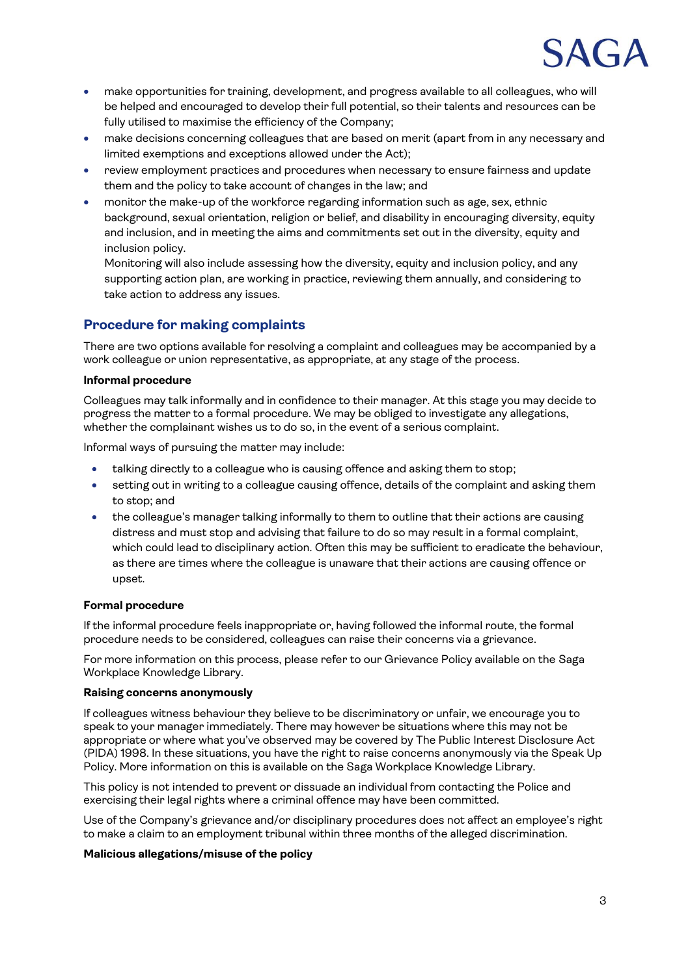

- make opportunities for training, development, and progress available to all colleagues, who will be helped and encouraged to develop their full potential, so their talents and resources can be fully utilised to maximise the efficiency of the Company;
- make decisions concerning colleagues that are based on merit (apart from in any necessary and limited exemptions and exceptions allowed under the Act);
- review employment practices and procedures when necessary to ensure fairness and update them and the policy to take account of changes in the law; and
- monitor the make-up of the workforce regarding information such as age, sex, ethnic background, sexual orientation, religion or belief, and disability in encouraging diversity, equity and inclusion, and in meeting the aims and commitments set out in the diversity, equity and inclusion policy.

Monitoring will also include assessing how the diversity, equity and inclusion policy, and any supporting action plan, are working in practice, reviewing them annually, and considering to take action to address any issues.

# **Procedure for making complaints**

There are two options available for resolving a complaint and colleagues may be accompanied by a work colleague or union representative, as appropriate, at any stage of the process.

#### **Informal procedure**

Colleagues may talk informally and in confidence to their manager. At this stage you may decide to progress the matter to a formal procedure. We may be obliged to investigate any allegations, whether the complainant wishes us to do so, in the event of a serious complaint.

Informal ways of pursuing the matter may include:

- talking directly to a colleague who is causing offence and asking them to stop;
- setting out in writing to a colleague causing offence, details of the complaint and asking them to stop; and
- the colleague's manager talking informally to them to outline that their actions are causing distress and must stop and advising that failure to do so may result in a formal complaint, which could lead to disciplinary action. Often this may be sufficient to eradicate the behaviour, as there are times where the colleague is unaware that their actions are causing offence or upset.

#### **Formal procedure**

If the informal procedure feels inappropriate or, having followed the informal route, the formal procedure needs to be considered, colleagues can raise their concerns via a grievance.

For more information on this process, please refer to our Grievance Policy available on the Saga Workplace Knowledge Library.

#### **Raising concerns anonymously**

If colleagues witness behaviour they believe to be discriminatory or unfair, we encourage you to speak to your manager immediately. There may however be situations where this may not be appropriate or where what you've observed may be covered by The Public Interest Disclosure Act (PIDA) 1998. In these situations, you have the right to raise concerns anonymously via the Speak Up Policy. More information on this is available on the Saga Workplace Knowledge Library.

This policy is not intended to prevent or dissuade an individual from contacting the Police and exercising their legal rights where a criminal offence may have been committed.

Use of the Company's grievance and/or disciplinary procedures does not affect an employee's right to make a claim to an employment tribunal within three months of the alleged discrimination.

#### **Malicious allegations/misuse of the policy**